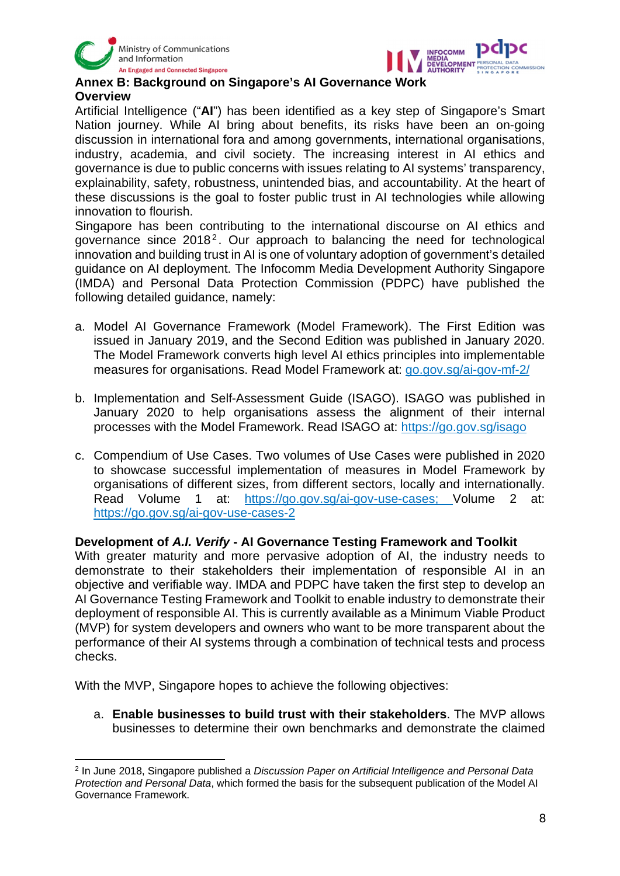



## **Annex B: Background on Singapore's AI Governance Work Overview**

Artificial Intelligence ("**AI**") has been identified as a key step of Singapore's Smart Nation journey. While AI bring about benefits, its risks have been an on-going discussion in international fora and among governments, international organisations, industry, academia, and civil society. The increasing interest in AI ethics and governance is due to public concerns with issues relating to AI systems' transparency, explainability, safety, robustness, unintended bias, and accountability. At the heart of these discussions is the goal to foster public trust in AI technologies while allowing innovation to flourish.

Singapore has been contributing to the international discourse on AI ethics and governance since 2018<sup>2</sup>. Our approach to balancing the need for technological innovation and building trust in AI is one of voluntary adoption of government's detailed guidance on AI deployment. The Infocomm Media Development Authority Singapore (IMDA) and Personal Data Protection Commission (PDPC) have published the following detailed guidance, namely:

- a. Model AI Governance Framework (Model Framework). The First Edition was issued in January 2019, and the Second Edition was published in January 2020. The Model Framework converts high level AI ethics principles into implementable measures for organisations. Read Model Framework at: go.gov.sg/ai-gov-mf-2/
- b. Implementation and Self-Assessment Guide (ISAGO). ISAGO was published in January 2020 to help organisations assess the alignment of their internal processes with the Model Framework. Read ISAGO at: https://go.gov.sg/isago
- c. Compendium of Use Cases. Two volumes of Use Cases were published in 2020 to showcase successful implementation of measures in Model Framework by organisations of different sizes, from different sectors, locally and internationally. Read Volume 1 at: https://go.gov.sg/ai-gov-use-cases; Volume 2 at: https://go.gov.sg/ai-gov-use-cases-2

## **Development of** *A.I. Verify* **- AI Governance Testing Framework and Toolkit**

With greater maturity and more pervasive adoption of AI, the industry needs to demonstrate to their stakeholders their implementation of responsible AI in an objective and verifiable way. IMDA and PDPC have taken the first step to develop an AI Governance Testing Framework and Toolkit to enable industry to demonstrate their deployment of responsible AI. This is currently available as a Minimum Viable Product (MVP) for system developers and owners who want to be more transparent about the performance of their AI systems through a combination of technical tests and process checks.

With the MVP, Singapore hopes to achieve the following objectives:

a. **Enable businesses to build trust with their stakeholders**. The MVP allows businesses to determine their own benchmarks and demonstrate the claimed

<sup>2</sup> In June 2018, Singapore published a *Discussion Paper on Artificial Intelligence and Personal Data Protection and Personal Data*, which formed the basis for the subsequent publication of the Model AI Governance Framework.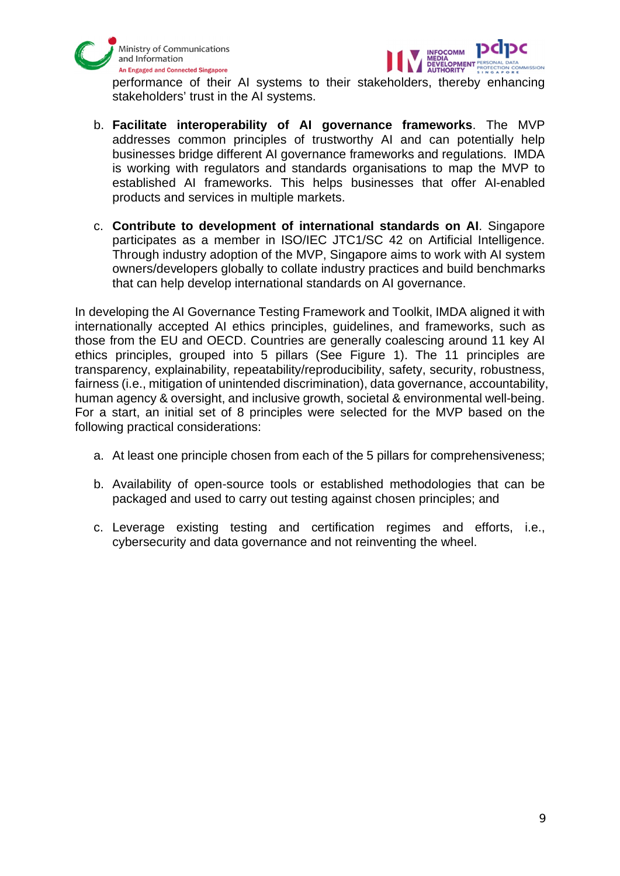



performance of their AI systems to their stakeholders, thereby enhancing stakeholders' trust in the AI systems.

- b. **Facilitate interoperability of AI governance frameworks**. The MVP addresses common principles of trustworthy AI and can potentially help businesses bridge different AI governance frameworks and regulations. IMDA is working with regulators and standards organisations to map the MVP to established AI frameworks. This helps businesses that offer AI-enabled products and services in multiple markets.
- c. **Contribute to development of international standards on AI**. Singapore participates as a member in ISO/IEC JTC1/SC 42 on Artificial Intelligence. Through industry adoption of the MVP, Singapore aims to work with AI system owners/developers globally to collate industry practices and build benchmarks that can help develop international standards on AI governance.

In developing the AI Governance Testing Framework and Toolkit, IMDA aligned it with internationally accepted AI ethics principles, guidelines, and frameworks, such as those from the EU and OECD. Countries are generally coalescing around 11 key AI ethics principles, grouped into 5 pillars (See Figure 1). The 11 principles are transparency, explainability, repeatability/reproducibility, safety, security, robustness, fairness (i.e., mitigation of unintended discrimination), data governance, accountability, human agency & oversight, and inclusive growth, societal & environmental well-being. For a start, an initial set of 8 principles were selected for the MVP based on the following practical considerations:

- a. At least one principle chosen from each of the 5 pillars for comprehensiveness;
- b. Availability of open-source tools or established methodologies that can be packaged and used to carry out testing against chosen principles; and
- c. Leverage existing testing and certification regimes and efforts, i.e., cybersecurity and data governance and not reinventing the wheel.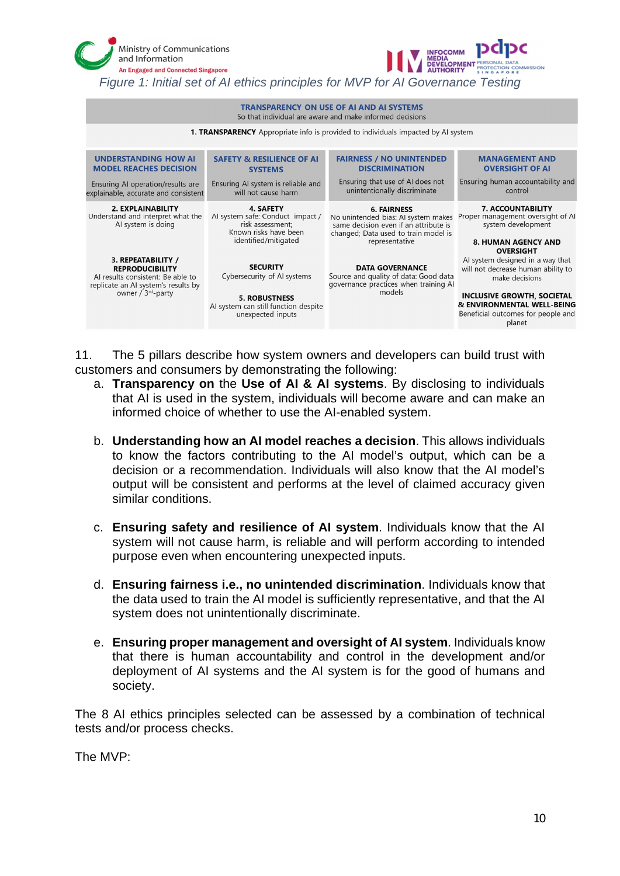| Ministry of Communications<br>and Information<br><b>An Engaged and Connected Singapore</b><br>Figure 1: Initial set of AI ethics principles for MVP for AI Governance Testing |  |                                                                                                                                     | <b>INFOCOMM</b>                                                                                                                                              |                                                                                                                                                                                                      |
|-------------------------------------------------------------------------------------------------------------------------------------------------------------------------------|--|-------------------------------------------------------------------------------------------------------------------------------------|--------------------------------------------------------------------------------------------------------------------------------------------------------------|------------------------------------------------------------------------------------------------------------------------------------------------------------------------------------------------------|
| <b>TRANSPARENCY ON USE OF AI AND AI SYSTEMS</b><br>So that individual are aware and make informed decisions                                                                   |  |                                                                                                                                     |                                                                                                                                                              |                                                                                                                                                                                                      |
| <b>1. TRANSPARENCY</b> Appropriate info is provided to individuals impacted by AI system                                                                                      |  |                                                                                                                                     |                                                                                                                                                              |                                                                                                                                                                                                      |
| <b>UNDERSTANDING HOW AI</b><br><b>MODEL REACHES DECISION</b><br>Ensuring AI operation/results are<br>explainable, accurate and consistent                                     |  | <b>SAFETY &amp; RESILIENCE OF AI</b><br><b>SYSTEMS</b><br>Ensuring AI system is reliable and<br>will not cause harm                 | <b>FAIRNESS / NO UNINTENDED</b><br><b>DISCRIMINATION</b><br>Ensuring that use of AI does not<br>unintentionally discriminate                                 | <b>MANAGEMENT AND</b><br><b>OVERSIGHT OF AI</b><br>Ensuring human accountability and<br>control                                                                                                      |
| 2. EXPLAINABILITY<br>Understand and interpret what the<br>Al system is doing                                                                                                  |  | <b>4. SAFETY</b><br>Al system safe: Conduct impact /<br>risk assessment;<br>Known risks have been<br>identified/mitigated           | <b>6. FAIRNESS</b><br>No unintended bias: AI system makes<br>same decision even if an attribute is<br>changed; Data used to train model is<br>representative | <b>7. ACCOUNTABILITY</b><br>Proper management oversight of AI<br>system development<br><b>8. HUMAN AGENCY AND</b><br><b>OVERSIGHT</b>                                                                |
| 3. REPEATABILITY /<br><b>REPRODUCIBILITY</b><br>Al results consistent: Be able to<br>replicate an AI system's results by<br>owner / 3 <sup>rd</sup> -party                    |  | <b>SECURITY</b><br>Cybersecurity of Al systems<br><b>5. ROBUSTNESS</b><br>Al system can still function despite<br>unexpected inputs | <b>DATA GOVERNANCE</b><br>Source and quality of data: Good data<br>governance practices when training Al<br>models                                           | Al system designed in a way that<br>will not decrease human ability to<br>make decisions<br>INCLUSIVE GROWTH, SOCIETAL<br>& ENVIRONMENTAL WELL-BEING<br>Beneficial outcomes for people and<br>planet |

11. The 5 pillars describe how system owners and developers can build trust with customers and consumers by demonstrating the following:

- a. **Transparency on** the **Use of AI & AI systems**. By disclosing to individuals that AI is used in the system, individuals will become aware and can make an informed choice of whether to use the AI-enabled system.
- b. **Understanding how an AI model reaches a decision**. This allows individuals to know the factors contributing to the AI model's output, which can be a decision or a recommendation. Individuals will also know that the AI model's output will be consistent and performs at the level of claimed accuracy given similar conditions.
- c. **Ensuring safety and resilience of AI system**. Individuals know that the AI system will not cause harm, is reliable and will perform according to intended purpose even when encountering unexpected inputs.
- d. **Ensuring fairness i.e., no unintended discrimination**. Individuals know that the data used to train the AI model is sufficiently representative, and that the AI system does not unintentionally discriminate.
- e. **Ensuring proper management and oversight of AI system**. Individuals know that there is human accountability and control in the development and/or deployment of AI systems and the AI system is for the good of humans and society.

The 8 AI ethics principles selected can be assessed by a combination of technical tests and/or process checks.

The MVP: